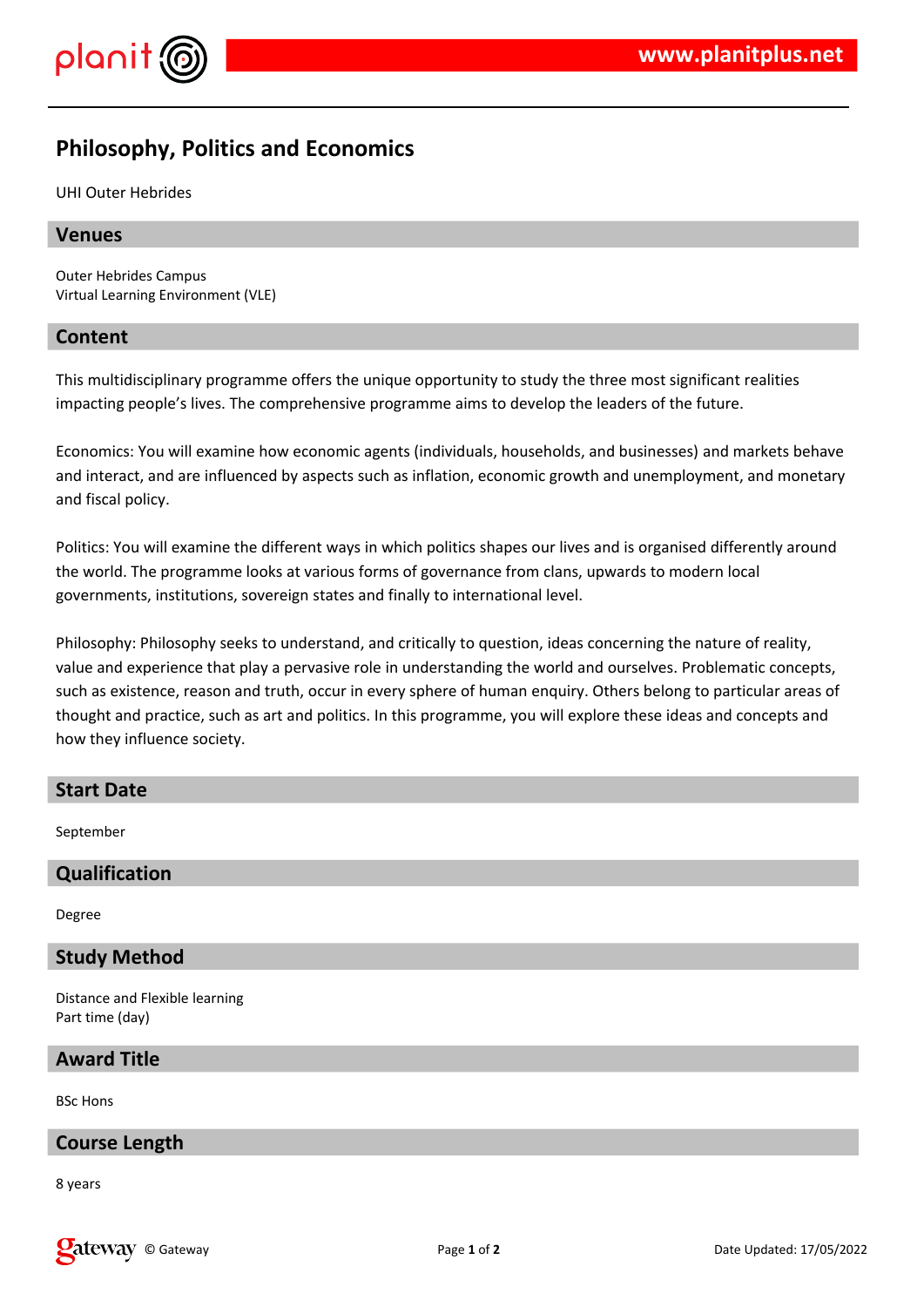

# **Philosophy, Politics and Economics**

UHI Outer Hebrides

# **Venues**

Outer Hebrides Campus Virtual Learning Environment (VLE)

# **Content**

This multidisciplinary programme offers the unique opportunity to study the three most significant realities impacting people's lives. The comprehensive programme aims to develop the leaders of the future.

Economics: You will examine how economic agents (individuals, households, and businesses) and markets behave and interact, and are influenced by aspects such as inflation, economic growth and unemployment, and monetary and fiscal policy.

Politics: You will examine the different ways in which politics shapes our lives and is organised differently around the world. The programme looks at various forms of governance from clans, upwards to modern local governments, institutions, sovereign states and finally to international level.

Philosophy: Philosophy seeks to understand, and critically to question, ideas concerning the nature of reality, value and experience that play a pervasive role in understanding the world and ourselves. Problematic concepts, such as existence, reason and truth, occur in every sphere of human enquiry. Others belong to particular areas of thought and practice, such as art and politics. In this programme, you will explore these ideas and concepts and how they influence society.

# **Start Date**

September

# **Qualification**

Degree

# **Study Method**

Distance and Flexible learning Part time (day)

### **Award Title**

BSc Hons

# **Course Length**

8 years